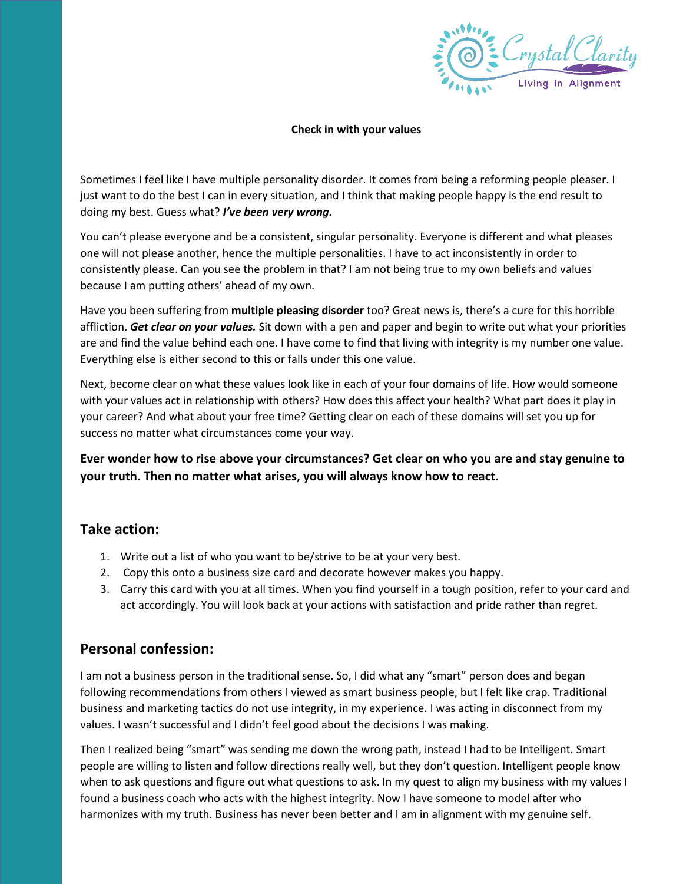

## **Check in with your values**

Sometimes I feel like I have multiple personality disorder. It comes from being a reforming people pleaser. I just want to do the best I can in every situation, and I think that making people happy is the end result to doing my best. Guess what? *I've been very wrong.*

You can't please everyone and be a consistent, singular personality. Everyone is different and what pleases one will not please another, hence the multiple personalities. I have to act inconsistently in order to consistently please. Can you see the problem in that? I am not being true to my own beliefs and values because I am putting others' ahead of my own.

Have you been suffering from **multiple pleasing disorder** too? Great news is, there's a cure for this horrible affliction. *Get clear on your values.* Sit down with a pen and paper and begin to write out what your priorities are and find the value behind each one. I have come to find that living with integrity is my number one value. Everything else is either second to this or falls under this one value.

Next, become clear on what these values look like in each of your four domains of life. How would someone with your values act in relationship with others? How does this affect your health? What part does it play in your career? And what about your free time? Getting clear on each of these domains will set you up for success no matter what circumstances come your way.

**Ever wonder how to rise above your circumstances? Get clear on who you are and stay genuine to your truth. Then no matter what arises, you will always know how to react.**

## **Take action:**

- 1. Write out a list of who you want to be/strive to be at your very best.
- 2. Copy this onto a business size card and decorate however makes you happy.
- 3. Carry this card with you at all times. When you find yourself in a tough position, refer to your card and act accordingly. You will look back at your actions with satisfaction and pride rather than regret.

## **Personal confession:**

I am not a business person in the traditional sense. So, I did what any "smart" person does and began following recommendations from others I viewed as smart business people, but I felt like crap. Traditional business and marketing tactics do not use integrity, in my experience. I was acting in disconnect from my values. I wasn't successful and I didn't feel good about the decisions I was making.

Then I realized being "smart" was sending me down the wrong path, instead I had to be Intelligent. Smart people are willing to listen and follow directions really well, but they don't question. Intelligent people know when to ask questions and figure out what questions to ask. In my quest to align my business with my values I found a business coach who acts with the highest integrity. Now I have someone to model after who harmonizes with my truth. Business has never been better and I am in alignment with my genuine self.